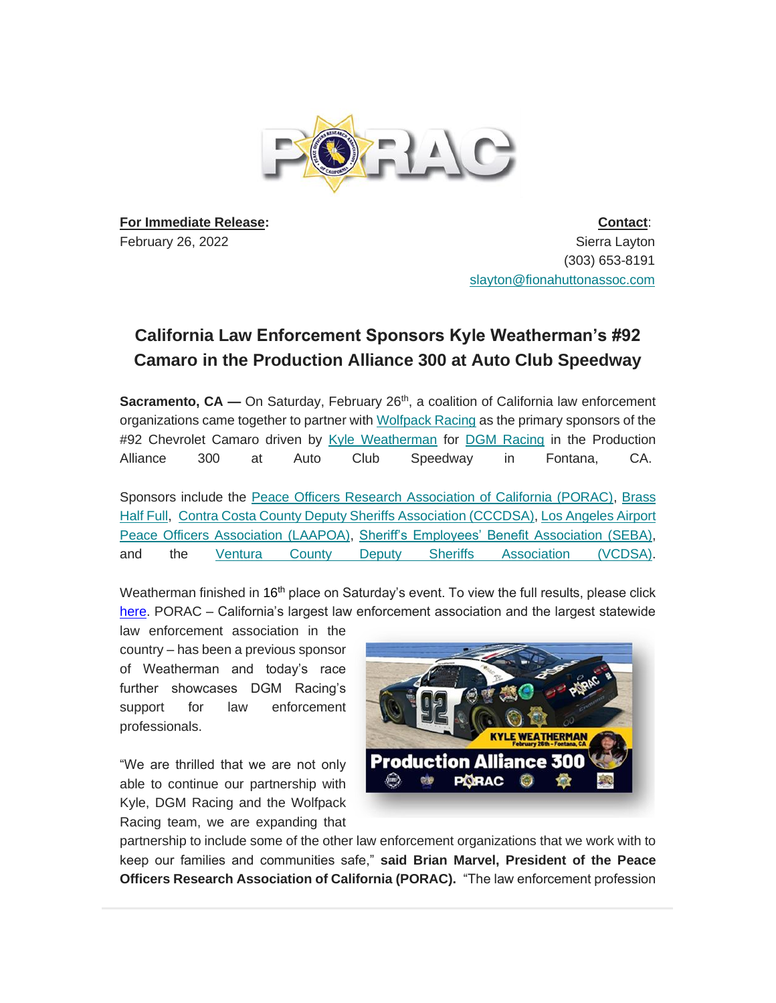

**For Immediate Release:** February 26, 2022

**Contact**: Sierra Layton (303) 653-8191 [slayton@fionahuttonassoc.com](mailto:slayton@fionahuttonassoc.com)

## **California Law Enforcement Sponsors Kyle Weatherman's #92 Camaro in the Production Alliance 300 at Auto Club Speedway**

**Sacramento, CA —** On Saturday, February 26<sup>th</sup>, a coalition of California law enforcement organizations came together to partner with [Wolfpack Racing](https://wolfpackracingusa.com/) as the primary sponsors of the #92 Chevrolet Camaro driven by [Kyle Weatherman](https://kyleweatherman.com/) for [DGM Racing](https://www.dgmracing.com/) in the Production Alliance 300 at Auto Club Speedway in Fontana, CA.

Sponsors include the [Peace Officers Research Association of California \(PORAC\),](https://porac.org/) [Brass](https://www.brasshalffull.com/)  [Half Full,](https://www.brasshalffull.com/) [Contra Costa County Deputy Sheriffs Association \(CCCDSA\),](https://contracostadsa.org/) [Los Angeles Airport](https://laapoa.com/)  [Peace Officers Association \(LAAPOA\),](https://laapoa.com/) [Sheriff's Employees' Benefit](https://www.seba.com/) Association (SEBA), and the [Ventura County Deputy Sheriffs Association \(VCDSA\).](https://vcdsa.org/)

Weatherman finished in 16<sup>th</sup> place on Saturday's event. To view the full results, please click [here.](https://www.nascar.com/results/racecenter/2022/nascar-xfinity-series/production-alliance-group-300/stn/entries/) PORAC – California's largest law enforcement association and the largest statewide

law enforcement association in the country – has been a previous sponsor of Weatherman and today's race further showcases DGM Racing's support for law enforcement professionals.

"We are thrilled that we are not only able to continue our partnership with Kyle, DGM Racing and the Wolfpack Racing team, we are expanding that



partnership to include some of the other law enforcement organizations that we work with to keep our families and communities safe," **said Brian Marvel, President of the Peace Officers Research Association of California (PORAC).** "The law enforcement profession